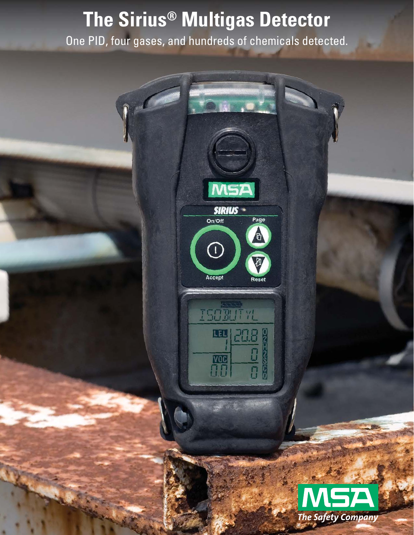# **The Sirius® Multigas Detector**

One PID, four gases, and hundreds of chemicals detected.

**SIRIUS** 

On/Off

 $\bigcap$ 

Accept

ISOMITYL

LEL

 $\begin{array}{c}\n\hline\n\text{VOG} \\
\hline\n\Pi\overline{\Pi}\n\end{array}$ 

Page

 $\overline{\mathtt{M}}$ 

Reset

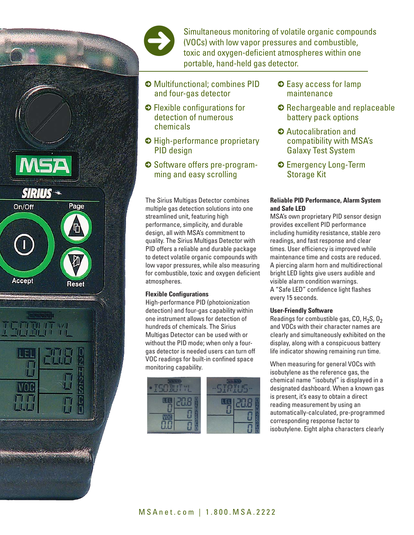

Simultaneous monitoring of volatile organic compounds (VOCs) with low vapor pressures and combustible, toxic and oxygen-deficient atmospheres within one portable, hand-held gas detector.

- 5 Multifunctional; combines PID and four-gas detector
- 5 Flexible configurations for detection of numerous chemicals
- 5 High-performance proprietary PID design
- 5 Software offers pre-programming and easy scrolling

The Sirius Multigas Detector combines multiple gas detection solutions into one streamlined unit, featuring high performance, simplicity, and durable design, all with MSA's commitment to quality. The Sirius Multigas Detector with PID offers a reliable and durable package to detect volatile organic compounds with low vapor pressures, while also measuring for combustible, toxic and oxygen deficient atmospheres.

# **Flexible Configurations**

High-performance PID (photoionization detection) and four-gas capability within one instrument allows for detection of hundreds of chemicals. The Sirius Multigas Detector can be used with or without the PID mode; when only a fourgas detector is needed users can turn off VOC readings for built-in confined space monitoring capability.



- $\bullet$  Easy access for lamp maintenance
- 5 Rechargeable and replaceable battery pack options
- 5 Autocalibration and compatibility with MSA's Galaxy Test System
- 5 Emergency Long-Term Storage Kit

# **Reliable PID Performance, Alarm System and Safe LED**

MSA's own proprietary PID sensor design provides excellent PID performance including humidity resistance, stable zero readings, and fast response and clear times. User efficiency is improved while maintenance time and costs are reduced. A piercing alarm horn and multidirectional bright LED lights give users audible and visible alarm condition warnings. A "Safe LED" confidence light flashes every 15 seconds.

## **User-Friendly Software**

Readings for combustible gas,  $CO$ , H<sub>2</sub>S,  $O<sub>2</sub>$ and VOCs with their character names are clearly and simultaneously exhibited on the display, along with a conspicuous battery life indicator showing remaining run time.

When measuring for general VOCs with isobutylene as the reference gas, the chemical name "isobutyl" is displayed in a designated dashboard. When a known gas is present, it's easy to obtain a direct reading measurement by using an automatically-calculated, pre-programmed corresponding response factor to isobutylene. Eight alpha characters clearly







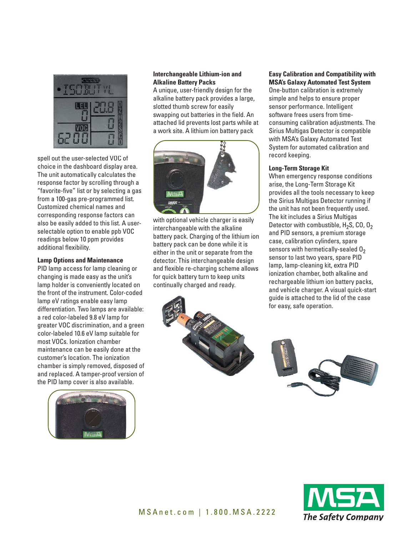

spell out the user-selected VOC of choice in the dashboard display area. The unit automatically calculates the response factor by scrolling through a "favorite-five" list or by selecting a gas from a 100-gas pre-programmed list. Customized chemical names and corresponding response factors can also be easily added to this list. A userselectable option to enable ppb VOC readings below 10 ppm provides additional flexibility.

#### **Lamp Options and Maintenance**

PID lamp access for lamp cleaning or changing is made easy as the unit's lamp holder is conveniently located on the front of the instrument. Color-coded lamp eV ratings enable easy lamp differentiation. Two lamps are available: a red color-labeled 9.8 eV lamp for greater VOC discrimination, and a green color-labeled 10.6 eV lamp suitable for most VOCs. Ionization chamber maintenance can be easily done at the customer's location. The ionization chamber is simply removed, disposed of and replaced. A tamper-proof version of the PID lamp cover is also available.



## **Interchangeable Lithium-ion and Alkaline Battery Packs**

A unique, user-friendly design for the alkaline battery pack provides a large, slotted thumb screw for easily swapping out batteries in the field. An attached lid prevents lost parts while at a work site. A lithium ion battery pack



with optional vehicle charger is easily interchangeable with the alkaline battery pack. Charging of the lithium ion battery pack can be done while it is either in the unit or separate from the detector. This interchangeable design and flexible re-charging scheme allows for quick battery turn to keep units continually charged and ready.



## **Easy Calibration and Compatibility with MSA's Galaxy Automated Test System**

One-button calibration is extremely simple and helps to ensure proper sensor performance. Intelligent software frees users from timeconsuming calibration adjustments. The Sirius Multigas Detector is compatible with MSA's Galaxy Automated Test System for automated calibration and record keeping.

#### **Long-Term Storage Kit**

When emergency response conditions arise, the Long-Term Storage Kit provides all the tools necessary to keep the Sirius Multigas Detector running if the unit has not been frequently used. The kit includes a Sirius Multigas Detector with combustible,  $H_2S$ , CO, O<sub>2</sub> and PID sensors, a premium storage case, calibration cylinders, spare sensors with hermetically-sealed  $0<sub>2</sub>$ sensor to last two years, spare PID lamp, lamp-cleaning kit, extra PID ionization chamber, both alkaline and rechargeable lithium ion battery packs, and vehicle charger. A visual quick-start guide is attached to the lid of the case for easy, safe operation.